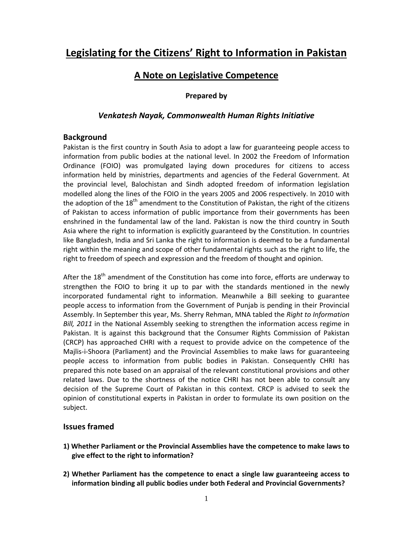# **Legislating for the Citizens' Right to Information in Pakistan**

## **A Note on Legislative Competence**

### **Prepared by**

### *Venkatesh Nayak, Commonwealth Human Rights Initiative*

#### **Background**

Pakistan is the first country in South Asia to adopt a law for guaranteeing people access to information from public bodies at the national level. In 2002 the Freedom of Information Ordinance (FOIO) was promulgated laying down procedures for citizens to access information held by ministries, departments and agencies of the Federal Government. At the provincial level, Balochistan and Sindh adopted freedom of information legislation modelled along the lines of the FOIO in the years 2005 and 2006 respectively. In 2010 with the adoption of the  $18<sup>th</sup>$  amendment to the Constitution of Pakistan, the right of the citizens of Pakistan to access information of public importance from their governments has been enshrined in the fundamental law of the land. Pakistan is now the third country in South Asia where the right to information is explicitly guaranteed by the Constitution. In countries like Bangladesh, India and Sri Lanka the right to information is deemed to be a fundamental right within the meaning and scope of other fundamental rights such as the right to life, the right to freedom of speech and expression and the freedom of thought and opinion.

After the  $18<sup>th</sup>$  amendment of the Constitution has come into force, efforts are underway to strengthen the FOIO to bring it up to par with the standards mentioned in the newly incorporated fundamental right to information. Meanwhile a Bill seeking to guarantee people access to information from the Government of Punjab is pending in their Provincial Assembly. In September this year, Ms. Sherry Rehman, MNA tabled the *Right to Information Bill, 2011* in the National Assembly seeking to strengthen the information access regime in Pakistan. It is against this background that the Consumer Rights Commission of Pakistan (CRCP) has approached CHRI with a request to provide advice on the competence of the Majlis‐i‐Shoora (Parliament) and the Provincial Assemblies to make laws for guaranteeing people access to information from public bodies in Pakistan. Consequently CHRI has prepared this note based on an appraisal of the relevant constitutional provisions and other related laws. Due to the shortness of the notice CHRI has not been able to consult any decision of the Supreme Court of Pakistan in this context. CRCP is advised to seek the opinion of constitutional experts in Pakistan in order to formulate its own position on the subject.

#### **Issues framed**

- **1) Whether Parliament or the Provincial Assemblies have the competence to make laws to give effect to the right to information?**
- **2) Whether Parliament has the competence to enact a single law guaranteeing access to information binding all public bodies under both Federal and Provincial Governments?**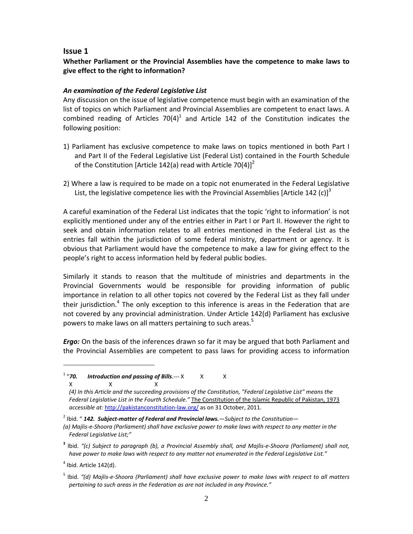#### **Issue 1**

## **Whether Parliament or the Provincial Assemblies have the competence to make laws to give effect to the right to information?**

#### *An examination of the Federal Legislative List*

Any discussion on the issue of legislative competence must begin with an examination of the list of topics on which Parliament and Provincial Assemblies are competent to enact laws. A combined reading of Articles  $70(4)^1$  and Article 142 of the Constitution indicates the following position:

- 1) Parliament has exclusive competence to make laws on topics mentioned in both Part I and Part II of the Federal Legislative List (Federal List) contained in the Fourth Schedule of the Constitution [Article 142(a) read with Article 70(4)]<sup>2</sup>
- 2) Where a law is required to be made on a topic not enumerated in the Federal Legislative List, the legislative competence lies with the Provincial Assemblies [Article 142 (c)]<sup>3</sup>

A careful examination of the Federal List indicates that the topic 'right to information' is not explicitly mentioned under any of the entries either in Part I or Part II. However the right to seek and obtain information relates to all entries mentioned in the Federal List as the entries fall within the jurisdiction of some federal ministry, department or agency. It is obvious that Parliament would have the competence to make a law for giving effect to the people's right to access information held by federal public bodies.

Similarly it stands to reason that the multitude of ministries and departments in the Provincial Governments would be responsible for providing information of public importance in relation to all other topics not covered by the Federal List as they fall under their jurisdiction.<sup>4</sup> The only exception to this inference is areas in the Federation that are not covered by any provincial administration. Under Article 142(d) Parliament has exclusive powers to make laws on all matters pertaining to such areas.<sup>5</sup>

*Ergo:* On the basis of the inferences drawn so far it may be argued that both Parliament and the Provincial Assemblies are competent to pass laws for providing access to information

 $<sup>4</sup>$  Ibid. Article 142(d).</sup>

<sup>&</sup>lt;sup>1</sup> "70. Introduction and passing of Bills.--- X X X  $\mathsf{x}$   $\mathsf{x}$   $\mathsf{x}$   $\mathsf{x}$ 

*<sup>(4)</sup> In this Article and the succeeding provisions of the Constitution, "Federal Legislative List" means the Federal Legislative List in the Fourth Schedule."* The Constitution of the Islamic Republic of Pakistan, 1973 *accessible at:* http://pakistanconstitution‐law.org/ as on 31 October, 2011.

<sup>2</sup> Ibid. " *142. Subject‐matter of Federal and Provincial laws.—Subject to the Constitution—*

<sup>(</sup>a) Majlis-e-Shoora (Parliament) shall have exclusive power to make laws with respect to any matter in the *Federal Legislative List;"*

<sup>&</sup>lt;sup>3</sup> Ibid. "(c) Subject to paragraph (b), a Provincial Assembly shall, and Majlis-e-Shoora (Parliament) shall not, *have power to make laws with respect to any matter not enumerated in the Federal Legislative List."*

<sup>&</sup>lt;sup>5</sup> Ibid. "(d) Majlis-e-Shoora (Parliament) shall have exclusive power to make laws with respect to all matters *pertaining to such areas in the Federation as are not included in any Province."*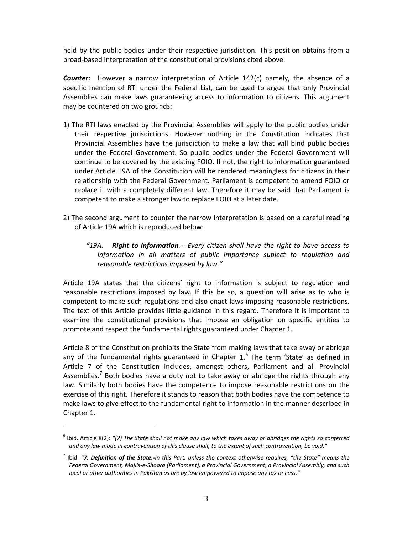held by the public bodies under their respective jurisdiction. This position obtains from a broad‐based interpretation of the constitutional provisions cited above.

*Counter:* However a narrow interpretation of Article 142(c) namely, the absence of a specific mention of RTI under the Federal List, can be used to argue that only Provincial Assemblies can make laws guaranteeing access to information to citizens. This argument may be countered on two grounds:

- 1) The RTI laws enacted by the Provincial Assemblies will apply to the public bodies under their respective jurisdictions. However nothing in the Constitution indicates that Provincial Assemblies have the jurisdiction to make a law that will bind public bodies under the Federal Government. So public bodies under the Federal Government will continue to be covered by the existing FOIO. If not, the right to information guaranteed under Article 19A of the Constitution will be rendered meaningless for citizens in their relationship with the Federal Government. Parliament is competent to amend FOIO or replace it with a completely different law. Therefore it may be said that Parliament is competent to make a stronger law to replace FOIO at a later date.
- 2) The second argument to counter the narrow interpretation is based on a careful reading of Article 19A which is reproduced below:
	- *"19A. Right to information.‐‐‐Every citizen shall have the right to have access to information in all matters of public importance subject to regulation and reasonable restrictions imposed by law."*

Article 19A states that the citizens' right to information is subject to regulation and reasonable restrictions imposed by law. If this be so, a question will arise as to who is competent to make such regulations and also enact laws imposing reasonable restrictions. The text of this Article provides little guidance in this regard. Therefore it is important to examine the constitutional provisions that impose an obligation on specific entities to promote and respect the fundamental rights guaranteed under Chapter 1.

Article 8 of the Constitution prohibits the State from making laws that take away or abridge any of the fundamental rights guaranteed in Chapter  $1<sup>6</sup>$  The term 'State' as defined in Article 7 of the Constitution includes, amongst others, Parliament and all Provincial Assemblies.<sup>7</sup> Both bodies have a duty not to take away or abridge the rights through any law. Similarly both bodies have the competence to impose reasonable restrictions on the exercise of this right. Therefore it stands to reason that both bodies have the competence to make laws to give effect to the fundamental right to information in the manner described in Chapter 1.

 $<sup>6</sup>$  Ibid. Article 8(2): "(2) The State shall not make any law which takes away or abridges the rights so conferred</sup> and any law made in contravention of this clause shall, to the extent of such contravention, be void."

 $'$  lbid. "**7. Definition of the State.-**In this Part, unless the context otherwise reauires. "the State" means the *Federal Government, Majlis‐e‐Shoora (Parliament), a Provincial Government, a Provincial Assembly, and such local or other authorities in Pakistan as are by law empowered to impose any tax or cess."*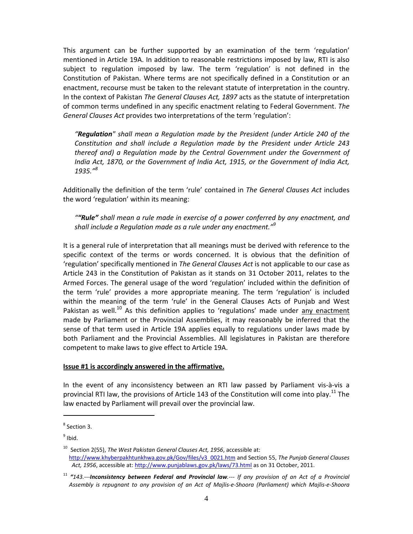This argument can be further supported by an examination of the term 'regulation' mentioned in Article 19A. In addition to reasonable restrictions imposed by law, RTI is also subject to regulation imposed by law. The term 'regulation' is not defined in the Constitution of Pakistan. Where terms are not specifically defined in a Constitution or an enactment, recourse must be taken to the relevant statute of interpretation in the country. In the context of Pakistan *The General Clauses Act, 1897* acts as the statute of interpretation of common terms undefined in any specific enactment relating to Federal Government. *The General Clauses Act* provides two interpretations of the term 'regulation':

*"Regulation" shall mean a Regulation made by the President (under Article 240 of the Constitution and shall include a Regulation made by the President under Article 243 thereof and) a Regulation made by the Central Government under the Government of India Act, 1870, or the Government of India Act, 1915, or the Government of India Act, 1935."<sup>8</sup>*

Additionally the definition of the term 'rule' contained in *The General Clauses Act* includes the word 'regulation' within its meaning:

*""Rule" shall mean a rule made in exercise of a power conferred by any enactment, and shall include a Regulation made as a rule under any enactment."9*

It is a general rule of interpretation that all meanings must be derived with reference to the specific context of the terms or words concerned. It is obvious that the definition of 'regulation' specifically mentioned in *The General Clauses Act* is not applicable to our case as Article 243 in the Constitution of Pakistan as it stands on 31 October 2011, relates to the Armed Forces. The general usage of the word 'regulation' included within the definition of the term 'rule' provides a more appropriate meaning. The term 'regulation' is included within the meaning of the term 'rule' in the General Clauses Acts of Punjab and West Pakistan as well.<sup>10</sup> As this definition applies to 'regulations' made under any enactment made by Parliament or the Provincial Assemblies, it may reasonably be inferred that the sense of that term used in Article 19A applies equally to regulations under laws made by both Parliament and the Provincial Assemblies. All legislatures in Pakistan are therefore competent to make laws to give effect to Article 19A.

#### **Issue #1 is accordingly answered in the affirmative.**

In the event of any inconsistency between an RTI law passed by Parliament vis‐à‐vis a provincial RTI law, the provisions of Article 143 of the Constitution will come into play.<sup>11</sup> The law enacted by Parliament will prevail over the provincial law.

<sup>8</sup> Section 3.

 $9$  Ibid.

<sup>10</sup> Section 2(55), *The West Pakistan General Clauses Act, 1956*, accessible at: http://www.khyberpakhtunkhwa.gov.pk/Gov/files/v3\_0021.htm and Section 55, *The Punjab General Clauses Act, 1956*, accessible at: http://www.punjablaws.gov.pk/laws/73.html as on 31 October, 2011.

<sup>&</sup>lt;sup>11</sup> "143.---**Inconsistency between Federal and Provincial law.---** If any provision of an Act of a Provincial Assembly is repugnant to any provision of an Act of Majlis-e-Shoora (Parliament) which Majlis-e-Shoora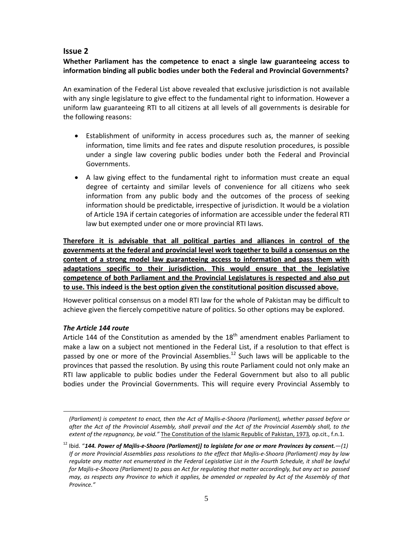## **Issue 2**

## **Whether Parliament has the competence to enact a single law guaranteeing access to information binding all public bodies under both the Federal and Provincial Governments?**

An examination of the Federal List above revealed that exclusive jurisdiction is not available with any single legislature to give effect to the fundamental right to information. However a uniform law guaranteeing RTI to all citizens at all levels of all governments is desirable for the following reasons:

- Establishment of uniformity in access procedures such as, the manner of seeking information, time limits and fee rates and dispute resolution procedures, is possible under a single law covering public bodies under both the Federal and Provincial Governments.
- A law giving effect to the fundamental right to information must create an equal degree of certainty and similar levels of convenience for all citizens who seek information from any public body and the outcomes of the process of seeking information should be predictable, irrespective of jurisdiction. It would be a violation of Article 19A if certain categories of information are accessible under the federal RTI law but exempted under one or more provincial RTI laws.

**Therefore it is advisable that all political parties and alliances in control of the governments at the federal and provincial level work together to build a consensus on the content of a strong model law guaranteeing access to information and pass them with adaptations specific to their jurisdiction. This would ensure that the legislative competence of both Parliament and the Provincial Legislatures is respected and also put to use. This indeed is the best option given the constitutional position discussed above.**

However political consensus on a model RTI law for the whole of Pakistan may be difficult to achieve given the fiercely competitive nature of politics. So other options may be explored.

#### *The Article 144 route*

-

Article 144 of the Constitution as amended by the  $18<sup>th</sup>$  amendment enables Parliament to make a law on a subject not mentioned in the Federal List, if a resolution to that effect is passed by one or more of the Provincial Assemblies.<sup>12</sup> Such laws will be applicable to the provinces that passed the resolution. By using this route Parliament could not only make an RTI law applicable to public bodies under the Federal Government but also to all public bodies under the Provincial Governments. This will require every Provincial Assembly to

<sup>(</sup>Parliament) is competent to enact, then the Act of Majlis-e-Shoora (Parliament), whether passed before or after the Act of the Provincial Assembly, shall prevail and the Act of the Provincial Assembly shall, to the *extent of the repugnancy, be void."* The Constitution of the Islamic Republic of Pakistan, 1973*,* op.cit., f.n.1.

 $^{12}$  Ibid. "144. Power of Majlis-e-Shoora (Parliament)] to legislate for one or more Provinces by consent.—(1) If or more Provincial Assemblies pass resolutions to the effect that Majlis-e-Shoora (Parliament) may by law requlate any matter not enumerated in the Federal Legislative List in the Fourth Schedule, it shall be lawful for Majlis-e-Shoora (Parliament) to pass an Act for regulating that matter accordingly, but any act so passed may, as respects any Province to which it applies, be amended or repealed by Act of the Assembly of that *Province."*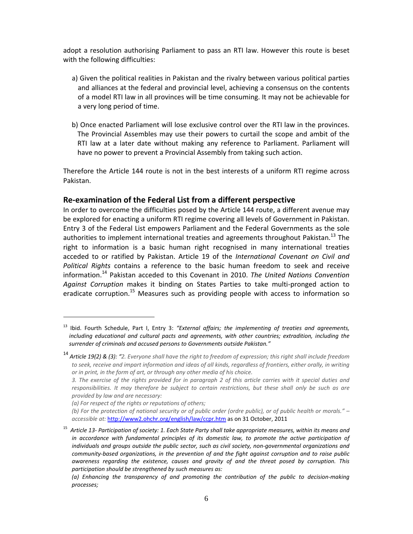adopt a resolution authorising Parliament to pass an RTI law. However this route is beset with the following difficulties:

- a) Given the political realities in Pakistan and the rivalry between various political parties and alliances at the federal and provincial level, achieving a consensus on the contents of a model RTI law in all provinces will be time consuming. It may not be achievable for a very long period of time.
- b) Once enacted Parliament will lose exclusive control over the RTI law in the provinces. The Provincial Assembles may use their powers to curtail the scope and ambit of the RTI law at a later date without making any reference to Parliament. Parliament will have no power to prevent a Provincial Assembly from taking such action.

Therefore the Article 144 route is not in the best interests of a uniform RTI regime across Pakistan.

### **Re‐examination of the Federal List from a different perspective**

In order to overcome the difficulties posed by the Article 144 route, a different avenue may be explored for enacting a uniform RTI regime covering all levels of Government in Pakistan. Entry 3 of the Federal List empowers Parliament and the Federal Governments as the sole authorities to implement international treaties and agreements throughout Pakistan.<sup>13</sup> The right to information is a basic human right recognised in many international treaties acceded to or ratified by Pakistan. Article 19 of the *International Covenant on Civil and Political Rights* contains a reference to the basic human freedom to seek and receive information.<sup>14</sup> Pakistan acceded to this Covenant in 2010. *The United Nations Convention Against Corruption* makes it binding on States Parties to take multi‐pronged action to eradicate corruption.<sup>15</sup> Measures such as providing people with access to information so

<sup>13</sup> Ibid. Fourth Schedule, Part I, Entry 3: *"External affairs; the implementing of treaties and agreements, including educational and cultural pacts and agreements, with other countries; extradition, including the surrender of criminals and accused persons to Governments outside Pakistan."*

<sup>&</sup>lt;sup>14</sup> Article 19(2) & (3): "2. Everyone shall have the right to freedom of expression; this right shall include freedom to seek, receive and impart information and ideas of all kinds, regardless of frontiers, either orally, in writing *or in print, in the form of art, or through any other media of his choice.*

<sup>3.</sup> The exercise of the rights provided for in paragraph 2 of this article carries with it special duties and responsibilities. It may therefore be subject to certain restrictions, but these shall only be such as are *provided by law and are necessary:*

*<sup>(</sup>a) For respect of the rights or reputations of others;*

<sup>(</sup>b) For the protection of national security or of public order (ordre public), or of public health or morals."  $$ *accessible at:* http://www2.ohchr.org/english/law/ccpr.htm as on 31 October, 2011

<sup>&</sup>lt;sup>15</sup> Article 13- Participation of society: 1. Each State Party shall take appropriate measures, within its means and *in accordance with fundamental principles of its domestic law, to promote the active participation of individuals and groups outside the public sector, such as civil society, non‐governmental organizations and community‐based organizations, in the prevention of and the fight against corruption and to raise public awareness regarding the existence, causes and gravity of and the threat posed by corruption. This participation should be strengthened by such measures as:*

*<sup>(</sup>a) Enhancing the transparency of and promoting the contribution of the public to decision‐making processes;*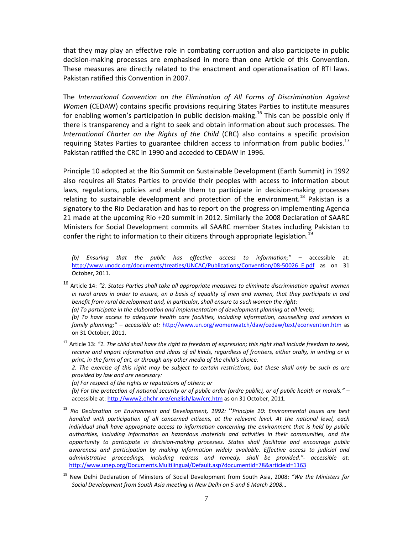that they may play an effective role in combating corruption and also participate in public decision‐making processes are emphasised in more than one Article of this Convention. These measures are directly related to the enactment and operationalisation of RTI laws. Pakistan ratified this Convention in 2007.

The *International Convention on the Elimination of All Forms of Discrimination Against Women* (CEDAW) contains specific provisions requiring States Parties to institute measures for enabling women's participation in public decision-making.<sup>16</sup> This can be possible only if there is transparency and a right to seek and obtain information about such processes. The *International Charter on the Rights of the Child* (CRC) also contains a specific provision requiring States Parties to guarantee children access to information from public bodies.<sup>17</sup> Pakistan ratified the CRC in 1990 and acceded to CEDAW in 1996.

Principle 10 adopted at the Rio Summit on Sustainable Development (Earth Summit) in 1992 also requires all States Parties to provide their peoples with access to information about laws, regulations, policies and enable them to participate in decision‐making processes relating to sustainable development and protection of the environment.<sup>18</sup> Pakistan is a signatory to the Rio Declaration and has to report on the progress on implementing Agenda 21 made at the upcoming Rio +20 summit in 2012. Similarly the 2008 Declaration of SAARC Ministers for Social Development commits all SAARC member States including Pakistan to confer the right to information to their citizens through appropriate legislation.<sup>19</sup>

*(b) Ensuring that the public has effective access to information;" –* accessible at: http://www.unodc.org/documents/treaties/UNCAC/Publications/Convention/08-50026 E.pdf as on 31 October, 2011.

<sup>16</sup> Article 14: *"2. States Parties shall take all appropriate measures to eliminate discrimination against women* in rural areas in order to ensure, on a basis of equality of men and women, that they participate in and *benefit from rural development and, in particular, shall ensure to such women the right:*

*(a) To participate in the elaboration and implementation of development planning at all levels;*

*(b) To have access to adequate health care facilities, including information, counselling and services in family planning;" – accessible at:* http://www.un.org/womenwatch/daw/cedaw/text/econvention.htm as on 31 October, 2011.

<sup>17</sup> Article 13: "1. The child shall have the right to freedom of expression; this right shall include freedom to seek, receive and impart information and ideas of all kinds, regardless of frontiers, either orally, in writing or in *print, in the form of art, or through any other media of the child's choice.*

2. The exercise of this right may be subject to certain restrictions, but these shall only be such as are *provided by law and are necessary:*

*(a) For respect of the rights or reputations of others; or*

-

(b) For the protection of national security or of public order (ordre public), or of public health or morals." accessible at: http://www2.ohchr.org/english/law/crc.htm as on 31 October, 2011.

- <sup>18</sup> *Rio Declaration on Environment and Development, 1992:* "*Principle 10: Environmental issues are best handled with participation of all concerned citizens, at the relevant level. At the national level, each individual shall have appropriate access to information concerning the environment that is held by public authorities, including information on hazardous materials and activities in their communities, and the opportunity to participate in decision‐making processes. States shall facilitate and encourage public awareness and participation by making information widely available. Effective access to judicial and administrative proceedings, including redress and remedy, shall be provided."‐ accessible at:* http://www.unep.org/Documents.Multilingual/Default.asp?documentid=78&articleid=1163
- <sup>19</sup> New Delhi Declaration of Ministers of Social Development from South Asia, 2008: *"We the Ministers for Social Development from South Asia meeting in New Delhi on 5 and 6 March 2008…*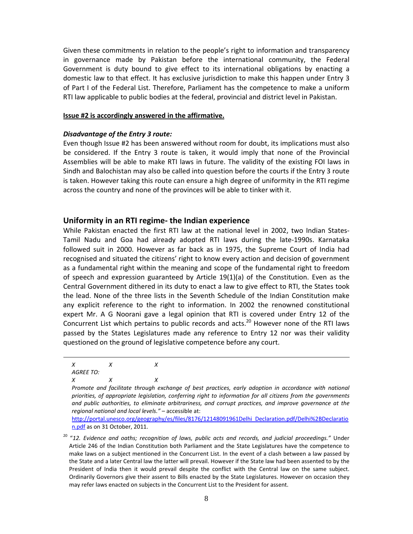Given these commitments in relation to the people's right to information and transparency in governance made by Pakistan before the international community, the Federal Government is duty bound to give effect to its international obligations by enacting a domestic law to that effect. It has exclusive jurisdiction to make this happen under Entry 3 of Part I of the Federal List. Therefore, Parliament has the competence to make a uniform RTI law applicable to public bodies at the federal, provincial and district level in Pakistan.

#### **Issue #2 is accordingly answered in the affirmative.**

#### *Disadvantage of the Entry 3 route:*

Even though Issue #2 has been answered without room for doubt, its implications must also be considered. If the Entry 3 route is taken, it would imply that none of the Provincial Assemblies will be able to make RTI laws in future. The validity of the existing FOI laws in Sindh and Balochistan may also be called into question before the courts if the Entry 3 route is taken. However taking this route can ensure a high degree of uniformity in the RTI regime across the country and none of the provinces will be able to tinker with it.

#### **Uniformity in an RTI regime‐ the Indian experience**

While Pakistan enacted the first RTI law at the national level in 2002, two Indian States-Tamil Nadu and Goa had already adopted RTI laws during the late‐1990s. Karnataka followed suit in 2000. However as far back as in 1975, the Supreme Court of India had recognised and situated the citizens' right to know every action and decision of government as a fundamental right within the meaning and scope of the fundamental right to freedom of speech and expression guaranteed by Article 19(1)(a) of the Constitution. Even as the Central Government dithered in its duty to enact a law to give effect to RTI, the States took the lead. None of the three lists in the Seventh Schedule of the Indian Constitution make any explicit reference to the right to information. In 2002 the renowned constitutional expert Mr. A G Noorani gave a legal opinion that RTI is covered under Entry 12 of the Concurrent List which pertains to public records and acts.<sup>20</sup> However none of the RTI laws passed by the States Legislatures made any reference to Entry 12 nor was their validity questioned on the ground of legislative competence before any court.

-

http://portal.unesco.org/geography/es/files/8176/12148091961Delhi\_Declaration.pdf/Delhi%2BDeclaratio n.pdf as on 31 October, 2011.

*X X X AGREE TO: X X X*

*Promote and facilitate through exchange of best practices, early adoption in accordance with national priorities, of appropriate legislation, conferring right to information for all citizens from the governments and public authorities, to eliminate arbitrariness, and corrupt practices, and improve governance at the regional national and local levels."* – accessible at:

<sup>20</sup> "*12. Evidence and oaths; recognition of laws, public acts and records, and judicial proceedings."* Under Article 246 of the Indian Constitution both Parliament and the State Legislatures have the competence to make laws on a subject mentioned in the Concurrent List. In the event of a clash between a law passed by the State and a later Central law the latter will prevail. However if the State law had been assented to by the President of India then it would prevail despite the conflict with the Central law on the same subject. Ordinarily Governors give their assent to Bills enacted by the State Legislatures. However on occasion they may refer laws enacted on subjects in the Concurrent List to the President for assent.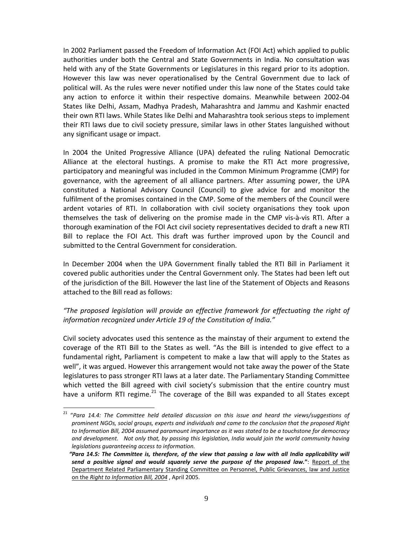In 2002 Parliament passed the Freedom of Information Act (FOI Act) which applied to public authorities under both the Central and State Governments in India. No consultation was held with any of the State Governments or Legislatures in this regard prior to its adoption. However this law was never operationalised by the Central Government due to lack of political will. As the rules were never notified under this law none of the States could take any action to enforce it within their respective domains. Meanwhile between 2002‐04 States like Delhi, Assam, Madhya Pradesh, Maharashtra and Jammu and Kashmir enacted their own RTI laws. While States like Delhi and Maharashtra took serious steps to implement their RTI laws due to civil society pressure, similar laws in other States languished without any significant usage or impact.

In 2004 the United Progressive Alliance (UPA) defeated the ruling National Democratic Alliance at the electoral hustings. A promise to make the RTI Act more progressive, participatory and meaningful was included in the Common Minimum Programme (CMP) for governance, with the agreement of all alliance partners. After assuming power, the UPA constituted a National Advisory Council (Council) to give advice for and monitor the fulfilment of the promises contained in the CMP. Some of the members of the Council were ardent votaries of RTI. In collaboration with civil society organisations they took upon themselves the task of delivering on the promise made in the CMP vis‐à‐vis RTI. After a thorough examination of the FOI Act civil society representatives decided to draft a new RTI Bill to replace the FOI Act. This draft was further improved upon by the Council and submitted to the Central Government for consideration.

In December 2004 when the UPA Government finally tabled the RTI Bill in Parliament it covered public authorities under the Central Government only. The States had been left out of the jurisdiction of the Bill. However the last line of the Statement of Objects and Reasons attached to the Bill read as follows:

## *"The proposed legislation will provide an effective framework for effectuating the right of information recognized under Article 19 of the Constitution of India."*

Civil society advocates used this sentence as the mainstay of their argument to extend the coverage of the RTI Bill to the States as well. "As the Bill is intended to give effect to a fundamental right, Parliament is competent to make a law that will apply to the States as well", it was argued. However this arrangement would not take away the power of the State legislatures to pass stronger RTI laws at a later date. The Parliamentary Standing Committee which vetted the Bill agreed with civil society's submission that the entire country must have a uniform RTI regime. $^{21}$  The coverage of the Bill was expanded to all States except

<sup>21</sup> "*Para 14.4: The Committee held detailed discussion on this issue and heard the views/suggestions of prominent NGOs, social groups, experts and individuals and came to the conclusion that the proposed Right to Information Bill, 2004 assumed paramount importance as it was stated to be a touchstone for democracy* and development. Not only that, by passing this legislation, India would join the world community having *legislations guaranteeing access to information.*

<sup>&</sup>quot;Para 14.5: The Committee is, therefore, of the view that passing a law with all India applicability will *send a positive signal and would squarely serve the purpose of the proposed law.***"**: Report of the Department Related Parliamentary Standing Committee on Personnel, Public Grievances, law and Justice on the *Right to Information Bill, 2004* , April 2005.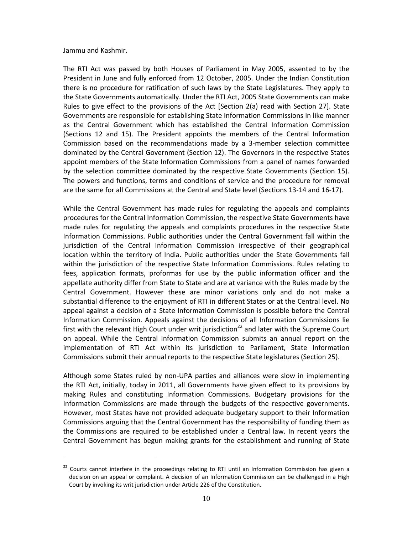#### Jammu and Kashmir.

-

The RTI Act was passed by both Houses of Parliament in May 2005, assented to by the President in June and fully enforced from 12 October, 2005. Under the Indian Constitution there is no procedure for ratification of such laws by the State Legislatures. They apply to the State Governments automatically. Under the RTI Act, 2005 State Governments can make Rules to give effect to the provisions of the Act [Section 2(a) read with Section 27]. State Governments are responsible for establishing State Information Commissions in like manner as the Central Government which has established the Central Information Commission (Sections 12 and 15). The President appoints the members of the Central Information Commission based on the recommendations made by a 3‐member selection committee dominated by the Central Government (Section 12). The Governors in the respective States appoint members of the State Information Commissions from a panel of names forwarded by the selection committee dominated by the respective State Governments (Section 15). The powers and functions, terms and conditions of service and the procedure for removal are the same for all Commissions at the Central and State level (Sections 13‐14 and 16‐17).

While the Central Government has made rules for regulating the appeals and complaints procedures for the Central Information Commission, the respective State Governments have made rules for regulating the appeals and complaints procedures in the respective State Information Commissions. Public authorities under the Central Government fall within the jurisdiction of the Central Information Commission irrespective of their geographical location within the territory of India. Public authorities under the State Governments fall within the jurisdiction of the respective State Information Commissions. Rules relating to fees, application formats, proformas for use by the public information officer and the appellate authority differ from State to State and are at variance with the Rules made by the Central Government. However these are minor variations only and do not make a substantial difference to the enjoyment of RTI in different States or at the Central level. No appeal against a decision of a State Information Commission is possible before the Central Information Commission. Appeals against the decisions of all Information Commissions lie first with the relevant High Court under writ jurisdiction<sup>22</sup> and later with the Supreme Court on appeal. While the Central Information Commission submits an annual report on the implementation of RTI Act within its jurisdiction to Parliament, State Information Commissions submit their annual reports to the respective State legislatures (Section 25).

Although some States ruled by non‐UPA parties and alliances were slow in implementing the RTI Act, initially, today in 2011, all Governments have given effect to its provisions by making Rules and constituting Information Commissions. Budgetary provisions for the Information Commissions are made through the budgets of the respective governments. However, most States have not provided adequate budgetary support to their Information Commissions arguing that the Central Government has the responsibility of funding them as the Commissions are required to be established under a Central law. In recent years the Central Government has begun making grants for the establishment and running of State

 $22$  Courts cannot interfere in the proceedings relating to RTI until an Information Commission has given a decision on an appeal or complaint. A decision of an Information Commission can be challenged in a High Court by invoking its writ jurisdiction under Article 226 of the Constitution.